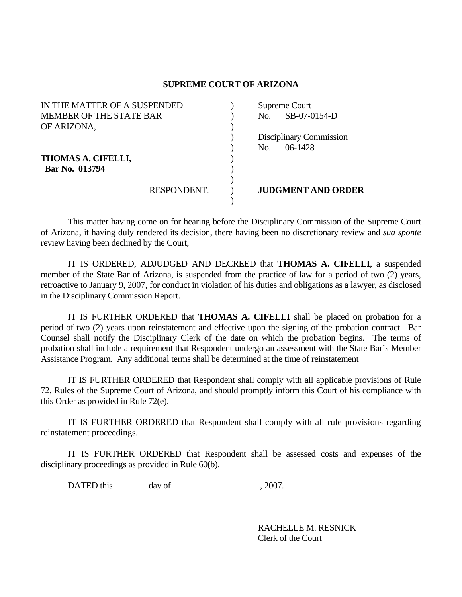## **SUPREME COURT OF ARIZONA**

| IN THE MATTER OF A SUSPENDED   |             | Supreme Court |                           |
|--------------------------------|-------------|---------------|---------------------------|
| <b>MEMBER OF THE STATE BAR</b> |             | No.           | SB-07-0154-D              |
| OF ARIZONA,                    |             |               |                           |
|                                |             |               | Disciplinary Commission   |
|                                |             | No.           | $06-1428$                 |
| THOMAS A. CIFELLI,             |             |               |                           |
| Bar No. 013794                 |             |               |                           |
|                                |             |               |                           |
|                                | RESPONDENT. |               | <b>JUDGMENT AND ORDER</b> |
|                                |             |               |                           |

 This matter having come on for hearing before the Disciplinary Commission of the Supreme Court of Arizona, it having duly rendered its decision, there having been no discretionary review and *sua sponte* review having been declined by the Court,

 IT IS ORDERED, ADJUDGED AND DECREED that **THOMAS A. CIFELLI**, a suspended member of the State Bar of Arizona, is suspended from the practice of law for a period of two (2) years, retroactive to January 9, 2007, for conduct in violation of his duties and obligations as a lawyer, as disclosed in the Disciplinary Commission Report.

 IT IS FURTHER ORDERED that **THOMAS A. CIFELLI** shall be placed on probation for a period of two (2) years upon reinstatement and effective upon the signing of the probation contract. Bar Counsel shall notify the Disciplinary Clerk of the date on which the probation begins. The terms of probation shall include a requirement that Respondent undergo an assessment with the State Bar's Member Assistance Program. Any additional terms shall be determined at the time of reinstatement

 IT IS FURTHER ORDERED that Respondent shall comply with all applicable provisions of Rule 72, Rules of the Supreme Court of Arizona, and should promptly inform this Court of his compliance with this Order as provided in Rule 72(e).

 IT IS FURTHER ORDERED that Respondent shall comply with all rule provisions regarding reinstatement proceedings.

 IT IS FURTHER ORDERED that Respondent shall be assessed costs and expenses of the disciplinary proceedings as provided in Rule 60(b).

DATED this day of , 2007.

 RACHELLE M. RESNICK Clerk of the Court